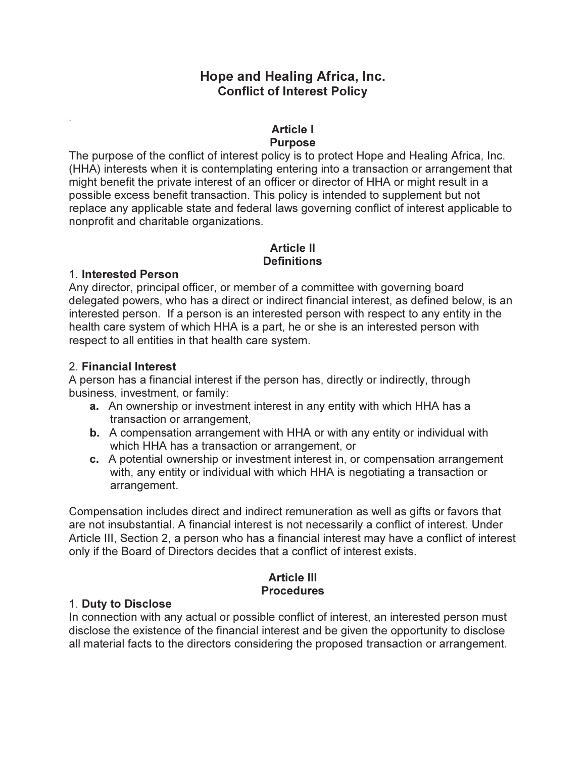### Hope and Healing Africa, Inc. Conflict of Interest Policy

#### Article I Purpose

The purpose of the conflict of interest policy is to protect Hope and Healing Africa, Inc. (HHA) interests when it is contemplating entering into a transaction or arrangement that might benefit the private interest of an officer or director of HHA or might result in a possible excess benefit transaction. This policy is intended to supplement but not replace any applicable state and federal laws governing conflict of interest applicable to nonprofit and charitable organizations.

#### Article II **Definitions**

#### 1. Interested Person

.

Any director, principal officer, or member of a committee with governing board delegated powers, who has a direct or indirect financial interest, as defined below, is an interested person. If a person is an interested person with respect to any entity in the health care system of which HHA is a part, he or she is an interested person with respect to all entities in that health care system.

#### 2. Financial Interest

A person has a financial interest if the person has, directly or indirectly, through business, investment, or family:

- a. An ownership or investment interest in any entity with which HHA has a transaction or arrangement,
- b. A compensation arrangement with HHA or with any entity or individual with which HHA has a transaction or arrangement, or
- c. A potential ownership or investment interest in, or compensation arrangement with, any entity or individual with which HHA is negotiating a transaction or arrangement.

Compensation includes direct and indirect remuneration as well as gifts or favors that are not insubstantial. A financial interest is not necessarily a conflict of interest. Under Article III, Section 2, a person who has a financial interest may have a conflict of interest only if the Board of Directors decides that a conflict of interest exists.

#### Article III **Procedures**

### 1. Duty to Disclose

In connection with any actual or possible conflict of interest, an interested person must disclose the existence of the financial interest and be given the opportunity to disclose all material facts to the directors considering the proposed transaction or arrangement.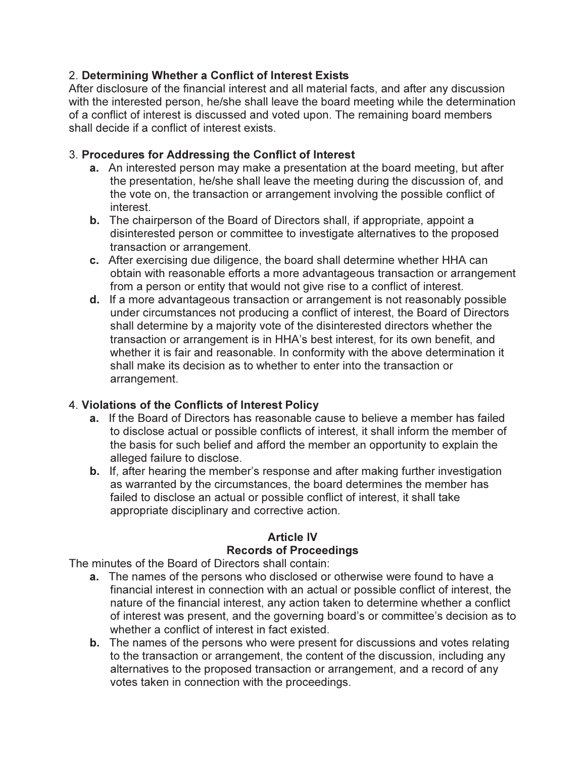### 2. Determining Whether a Conflict of Interest Exists

After disclosure of the financial interest and all material facts, and after any discussion with the interested person, he/she shall leave the board meeting while the determination of a conflict of interest is discussed and voted upon. The remaining board members shall decide if a conflict of interest exists.

#### 3. Procedures for Addressing the Conflict of Interest

- a. An interested person may make a presentation at the board meeting, but after the presentation, he/she shall leave the meeting during the discussion of, and the vote on, the transaction or arrangement involving the possible conflict of interest.
- b. The chairperson of the Board of Directors shall, if appropriate, appoint a disinterested person or committee to investigate alternatives to the proposed transaction or arrangement.
- c. After exercising due diligence, the board shall determine whether HHA can obtain with reasonable efforts a more advantageous transaction or arrangement from a person or entity that would not give rise to a conflict of interest.
- d. If a more advantageous transaction or arrangement is not reasonably possible under circumstances not producing a conflict of interest, the Board of Directors shall determine by a majority vote of the disinterested directors whether the transaction or arrangement is in HHA's best interest, for its own benefit, and whether it is fair and reasonable. In conformity with the above determination it shall make its decision as to whether to enter into the transaction or arrangement.

### 4. Violations of the Conflicts of Interest Policy

- a. If the Board of Directors has reasonable cause to believe a member has failed to disclose actual or possible conflicts of interest, it shall inform the member of the basis for such belief and afford the member an opportunity to explain the alleged failure to disclose.
- b. If, after hearing the member's response and after making further investigation as warranted by the circumstances, the board determines the member has failed to disclose an actual or possible conflict of interest, it shall take appropriate disciplinary and corrective action.

### Article IV Records of Proceedings

The minutes of the Board of Directors shall contain:

- a. The names of the persons who disclosed or otherwise were found to have a financial interest in connection with an actual or possible conflict of interest, the nature of the financial interest, any action taken to determine whether a conflict of interest was present, and the governing board's or committee's decision as to whether a conflict of interest in fact existed.
- b. The names of the persons who were present for discussions and votes relating to the transaction or arrangement, the content of the discussion, including any alternatives to the proposed transaction or arrangement, and a record of any votes taken in connection with the proceedings.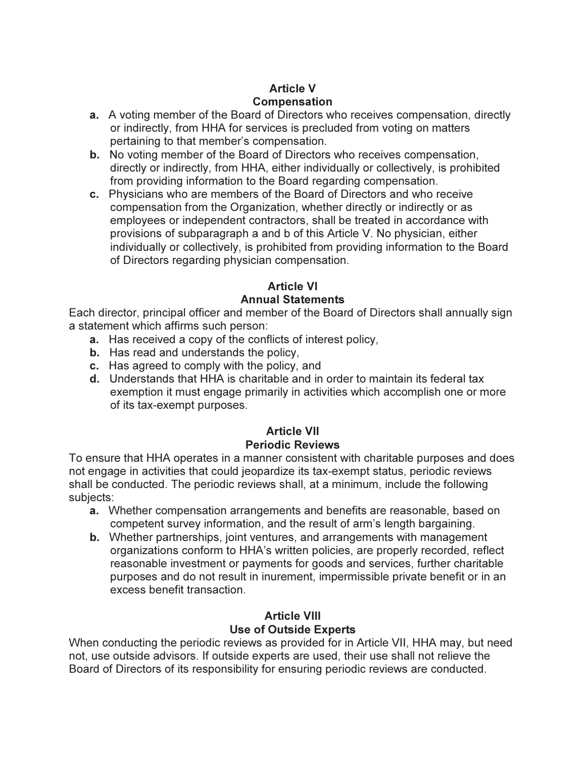## Article V Compensation

- a. A voting member of the Board of Directors who receives compensation, directly or indirectly, from HHA for services is precluded from voting on matters pertaining to that member's compensation.
- b. No voting member of the Board of Directors who receives compensation, directly or indirectly, from HHA, either individually or collectively, is prohibited from providing information to the Board regarding compensation.
- c. Physicians who are members of the Board of Directors and who receive compensation from the Organization, whether directly or indirectly or as employees or independent contractors, shall be treated in accordance with provisions of subparagraph a and b of this Article V. No physician, either individually or collectively, is prohibited from providing information to the Board of Directors regarding physician compensation.

# Article VI

### Annual Statements

Each director, principal officer and member of the Board of Directors shall annually sign a statement which affirms such person:

- a. Has received a copy of the conflicts of interest policy,
- b. Has read and understands the policy,
- c. Has agreed to comply with the policy, and
- d. Understands that HHA is charitable and in order to maintain its federal tax exemption it must engage primarily in activities which accomplish one or more of its tax-exempt purposes.

### Article VII Periodic Reviews

To ensure that HHA operates in a manner consistent with charitable purposes and does not engage in activities that could jeopardize its tax-exempt status, periodic reviews shall be conducted. The periodic reviews shall, at a minimum, include the following subjects:

- a. Whether compensation arrangements and benefits are reasonable, based on competent survey information, and the result of arm's length bargaining.
- b. Whether partnerships, joint ventures, and arrangements with management organizations conform to HHA's written policies, are properly recorded, reflect reasonable investment or payments for goods and services, further charitable purposes and do not result in inurement, impermissible private benefit or in an excess benefit transaction.

#### Article VIII Use of Outside Experts

When conducting the periodic reviews as provided for in Article VII, HHA may, but need not, use outside advisors. If outside experts are used, their use shall not relieve the Board of Directors of its responsibility for ensuring periodic reviews are conducted.